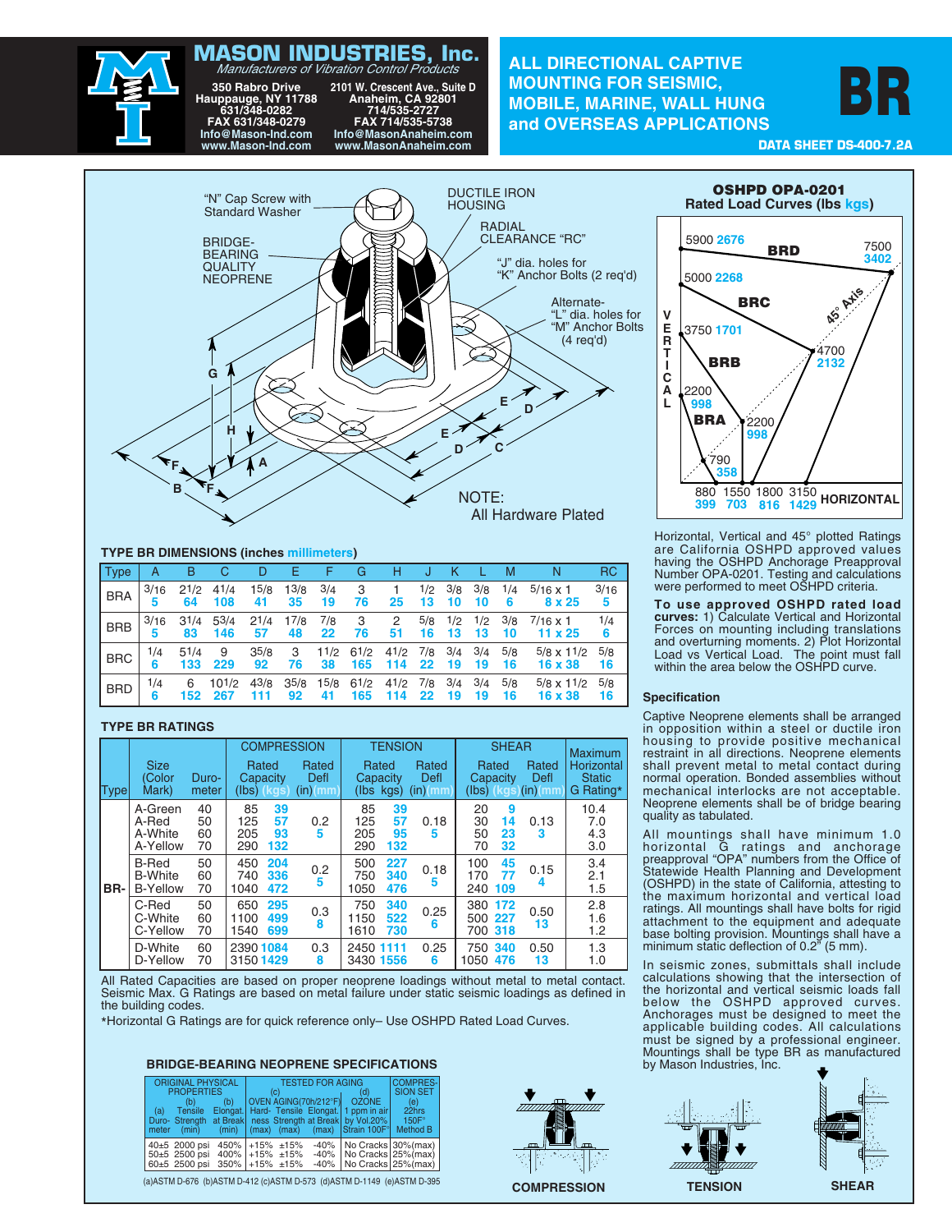## **MASON INDUSTRIES, Inc.**

Manufacturers of Vibration Control Products **350 Rabro Drive 2101 W. Crescent Ave., Suite D<br>
<b>Hauppauge, NY 11788 Anaheim, CA 92801**<br> **631/348-0282 714/535-2727**<br>
FAX 631/348-0279 FAX 714/535-5738<br>
Info@Mason-Ind.com Info@MasonAnaheim.com **www.Mason-Ind.com www.MasonAnaheim.com**

### **ALL DIRECTIONAL CAPTIVE MOUNTING FOR SEISMIC, MOBILE, MARINE, WALL HUNG and OVERSEAS APPLICATIONS**

BR **DATA SHEET DS-400-7.2A**





are California OSHPD approved values having the OSHPD Anchorage Preapproval Number OPA-0201. Testing and calculations were performed to meet OSHPD criteria.

**To use approved OSHPD rated load curves:** 1) Calculate Vertical and Horizontal Forces on mounting including translations and overturning moments. 2) Plot Horizontal Load vs Vertical Load. The point must fall within the area below the OSHPD curve.

#### **Specification**

Captive Neoprene elements shall be arranged in opposition within a steel or ductile iron housing to provide positive mechanical restraint in all directions. Neoprene elements shall prevent metal to metal contact during normal operation. Bonded assemblies without mechanical interlocks are not acceptable. Neoprene elements shall be of bridge bearing quality as tabulated.

Horizontal, Vertical and 45° plotted Ratings<br>the California OSHPD approved values<br>having the OSHPD Anchorage Preapproval<br>Number OPA-0201. Testing and calculations<br>were performed to meet OSHPD criteria.<br>**Covertical and Hori** All mountings shall have minimum 1.0 horizontal G ratings and anchorage preapproval "OPA" numbers from the Office of Statewide Health Planning and Development (OSHPD) in the state of California, attesting to the maximum horizontal and vertical load ratings. All mountings shall have bolts for rigid attachment to the equipment and adequate base bolting provision. Mountings shall have a minimum static deflection of 0.2" (5 mm).

In seismic zones, submittals shall include calculations showing that the intersection of the horizontal and vertical seismic loads fall below the OSHPD approved curves. Anchorages must be designed to meet the applicable building codes. All calculations must be signed by a professional engineer. Mountings shall be type BR as manufactured by Mason Industries, Inc.



|  |  |  |  |  |  |  | Type A B C D E F G H J K L M N RC                                  |  |
|--|--|--|--|--|--|--|--------------------------------------------------------------------|--|
|  |  |  |  |  |  |  | BRA 3/16 21/2 41/4 15/8 13/8 3/4 3 1 1/2 3/8 3/8 1/4 5/16 x 1 3/16 |  |

**TYPE BR DIMENSIONS (inches millimeters)**

|  |  |  |  |  |  | BRB 3/16 31/4 53/4 21/4 17/8 7/8 3 2 5/8 1/2 1/2 3/8 7/16 x 1 1/4<br>BRB 3/16 31/4 53/4 21/4 17/8 22 76 51 16 13 13 10 11 x 25 6                                                                                                                                                  |  |
|--|--|--|--|--|--|-----------------------------------------------------------------------------------------------------------------------------------------------------------------------------------------------------------------------------------------------------------------------------------|--|
|  |  |  |  |  |  |                                                                                                                                                                                                                                                                                   |  |
|  |  |  |  |  |  | BRD $\begin{array}{ rrrrrrrrrrrrrrrrrrrrrrrrrrrrrrrrrrrrrrrrrrrrrrrrrrrrrr} 1/4 & 6 & 101/2 & 43/8 & 35/8 & 15/8 & 61/2 & 41/2 & 7/8 & 3/4 & 3/4 & 5/8 & 5/8 \times 11/2 & 5/8 \ 6 & 152 & 267 & 111 & 92 & 41 & 165 & 114 & 22 & 19 & 19 & 16 & 16 \times 38 & 16 \ \end{array}$ |  |

#### **TYPE BR RATINGS**

|             |                                                   |                                                            |                                  |                       | <b>COMPRESSION</b>        |                         | <b>TENSION</b>        |                               |                       | <b>SHEAR</b>        | <b>Maximum</b>                      |                                          |
|-------------|---------------------------------------------------|------------------------------------------------------------|----------------------------------|-----------------------|---------------------------|-------------------------|-----------------------|-------------------------------|-----------------------|---------------------|-------------------------------------|------------------------------------------|
| <b>Type</b> | <b>Size</b><br>'Color<br>Mark)                    | Duro-<br>meter                                             | Rated<br>Capacity<br>(Ibs) (kgs) |                       | Rated<br>Defl<br>(in)(mm) | Rated<br>Capacity       | (Ibs kgs)             | Rated<br>Defl<br>(in)(mm)     |                       | Rated<br>Capacity   | Rated<br>Defl<br>(lbs) (kgs)(in)(mm | Horizontal<br><b>Static</b><br>G Rating* |
|             | A-Green<br>A-Red<br>A-White<br>A-Yellow           | 40<br>50<br>60<br>70                                       | 85<br>125<br>205<br>290          | 39<br>57<br>93<br>132 | 0.2<br>5                  | 85<br>125<br>205<br>290 | 39<br>57<br>95<br>132 | 0.18<br>5                     | 20<br>30<br>50<br>70  | 9<br>14<br>23<br>32 | 0.13<br>з                           | 10.4<br>7.0<br>4.3<br>3.0                |
| BR-         | <b>B-Red</b><br><b>B-White</b><br><b>B-Yellow</b> | 50<br>60<br>70                                             | 450<br>740<br>1040               | 204<br>336<br>472     | $^{0.2}_{5}$              | 500<br>750<br>1050      | 227<br>340<br>476     | 0.18<br>5                     | 100<br>170<br>240 109 | 45<br>77            | 0.15                                | 3.4<br>2.1<br>1.5                        |
|             | C-Red<br>C-White<br>C-Yellow                      | 50<br>295<br>650<br>60<br>499<br>1100<br>70<br>699<br>1540 |                                  | 0.3<br>8              | 750<br>1150<br>1610       | 340<br>522<br>730       | 0.25<br>6             | 380 172<br>500 227<br>700 318 |                       | 0.50<br>13          | 2.8<br>1.6<br>1.2                   |                                          |
|             | D-White<br>D-Yellow                               | 60<br>70                                                   | 23901084<br>31501429             |                       | 0.3<br>8                  | 2450 1111<br>3430 1556  |                       | 0.25<br>6                     | 750<br>1050           | 340<br>476          | 0.50<br>13                          | 1.3<br>1.0                               |

All Rated Capacities are based on proper neoprene loadings without metal to metal contact. Seismic Max. G Ratings are based on metal failure under static seismic loadings as defined in the building codes.

\*Horizontal G Ratings are for quick reference only– Use OSHPD Rated Load Curves.

**BRIDGE-BEARING NEOPRENE SPECIFICATIONS**

| ORIGINAL PHYSICAL                                                                                 | <b>TESTED FOR AGING</b>                                                                                                                 | <b>COMPRES-</b>                                      |                       |  |  |  |  |  |  |  |  |  |
|---------------------------------------------------------------------------------------------------|-----------------------------------------------------------------------------------------------------------------------------------------|------------------------------------------------------|-----------------------|--|--|--|--|--|--|--|--|--|
| <b>PROPERTIES</b><br>(b)<br>(b)<br>Tensile<br>(a)                                                 | OVEN AGING(70h/212°F)<br><b>OZONE</b><br>Elongat. Hard- Tensile Elongat.<br>pom in airl                                                 | <b>SION SET</b><br>(e)<br>22hrs<br>150F <sup>o</sup> |                       |  |  |  |  |  |  |  |  |  |
| (min)<br>meter<br>(min)                                                                           | Duro- Strength at Break ness Strength at Break by Vol.20%<br>Strain 100F°<br>(max)<br>(max)<br>(max)                                    | <b>Method B</b>                                      | <b>MANAGEMENT</b>     |  |  |  |  |  |  |  |  |  |
| $40\pm 5$ 2000 psi<br>$50+5$ 2500 psi<br>60±5 2500 psi 350% +15% ±15%                             | No Cracks 30% (max)<br>450% +15% ±15%<br>$-40%$<br>No Cracks 25% (max)<br>-40%<br>$400\%$ +15% $\pm$ 15%<br>No Cracks 25% (max)<br>-40% |                                                      | 皿<br>52<br>. <i>.</i> |  |  |  |  |  |  |  |  |  |
| (a) ASTM D-676 (b) ASTM D-412 (c) ASTM D-573 (d) ASTM D-1149 (e) ASTM D-395<br><b>COMPRESSION</b> |                                                                                                                                         |                                                      |                       |  |  |  |  |  |  |  |  |  |